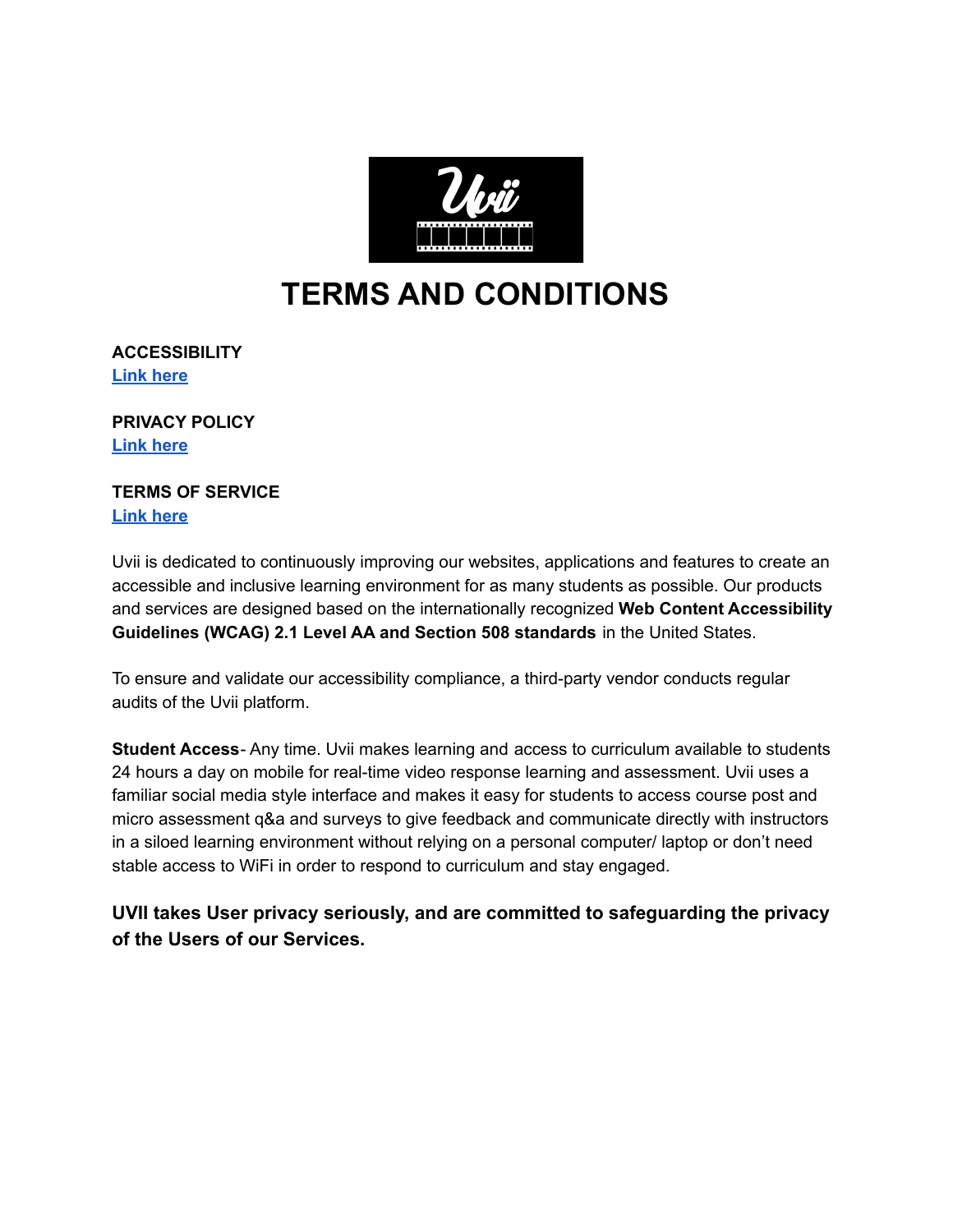

# **TERMS AND CONDITIONS**

**ACCESSIBILITY Link [here](https://docs.google.com/document/d/1Aho_vIotCnod-tkDzPkcQkACVFvOpBP-1VHyJIYB4eo/edit?usp=sharing)**

**PRIVACY POLICY Link [here](https://docs.google.com/document/d/16OnP_db7XKSUGRa75IxwbqDHnaf82q3R_Sbh34xd3-k/edit?usp=sharing)**

## **TERMS OF SERVICE**

**Link [here](https://docs.google.com/document/d/1Kq-8pG_pI7N0dF57iwFeYCdhuSr4C-HtOrHHyK8bonM/edit?usp=sharing)**

Uvii is dedicated to continuously improving our websites, applications and features to create an accessible and inclusive learning environment for as many students as possible. Our products and services are designed based on the internationally recognized **Web Content Accessibility Guidelines (WCAG) 2.1 Level AA and Section 508 standards** in the United States.

To ensure and validate our accessibility compliance, a third-party vendor conducts regular audits of the Uvii platform.

**Student Access**- Any time. Uvii makes learning and access to curriculum available to students 24 hours a day on mobile for real-time video response learning and assessment. Uvii uses a familiar social media style interface and makes it easy for students to access course post and micro assessment q&a and surveys to give feedback and communicate directly with instructors in a siloed learning environment without relying on a personal computer/ laptop or don't need stable access to WiFi in order to respond to curriculum and stay engaged.

**UVII takes User privacy seriously, and are committed to safeguarding the privacy of the Users of our Services.**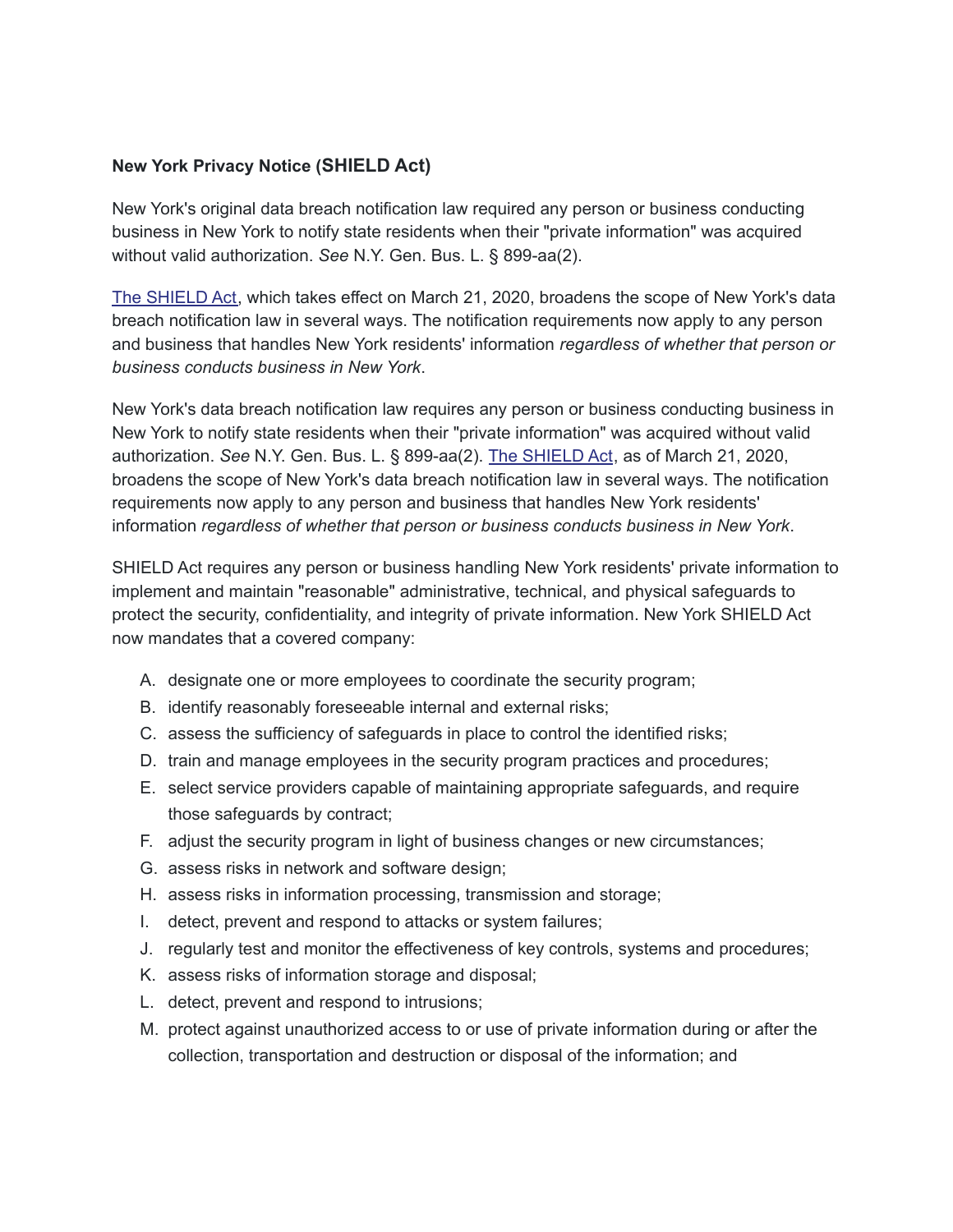#### **New York Privacy Notice (SHIELD Act)**

New York's original data breach notification law required any person or business conducting business in New York to notify state residents when their "private information" was acquired without valid authorization. *See* N.Y. Gen. Bus. L. § 899-aa(2).

The [SHIELD](https://legislation.nysenate.gov/pdf/bills/2019/S133) Act, which takes effect on March 21, 2020, broadens the scope of New York's data breach notification law in several ways. The notification requirements now apply to any person and business that handles New York residents' information *regardless of whether that person or business conducts business in New York*.

New York's data breach notification law requires any person or business conducting business in New York to notify state residents when their "private information" was acquired without valid authorization. *See* N.Y. Gen. Bus. L. § 899-aa(2). The [SHIELD](https://legislation.nysenate.gov/pdf/bills/2019/S133) Act, as of March 21, 2020, broadens the scope of New York's data breach notification law in several ways. The notification requirements now apply to any person and business that handles New York residents' information *regardless of whether that person or business conducts business in New York*.

SHIELD Act requires any person or business handling New York residents' private information to implement and maintain "reasonable" administrative, technical, and physical safeguards to protect the security, confidentiality, and integrity of private information. New York SHIELD Act now mandates that a covered company:

- A. designate one or more employees to coordinate the security program;
- B. identify reasonably foreseeable internal and external risks;
- C. assess the sufficiency of safeguards in place to control the identified risks;
- D. train and manage employees in the security program practices and procedures;
- E. select service providers capable of maintaining appropriate safeguards, and require those safeguards by contract;
- F. adjust the security program in light of business changes or new circumstances;
- G. assess risks in network and software design;
- H. assess risks in information processing, transmission and storage;
- I. detect, prevent and respond to attacks or system failures;
- J. regularly test and monitor the effectiveness of key controls, systems and procedures;
- K. assess risks of information storage and disposal;
- L. detect, prevent and respond to intrusions;
- M. protect against unauthorized access to or use of private information during or after the collection, transportation and destruction or disposal of the information; and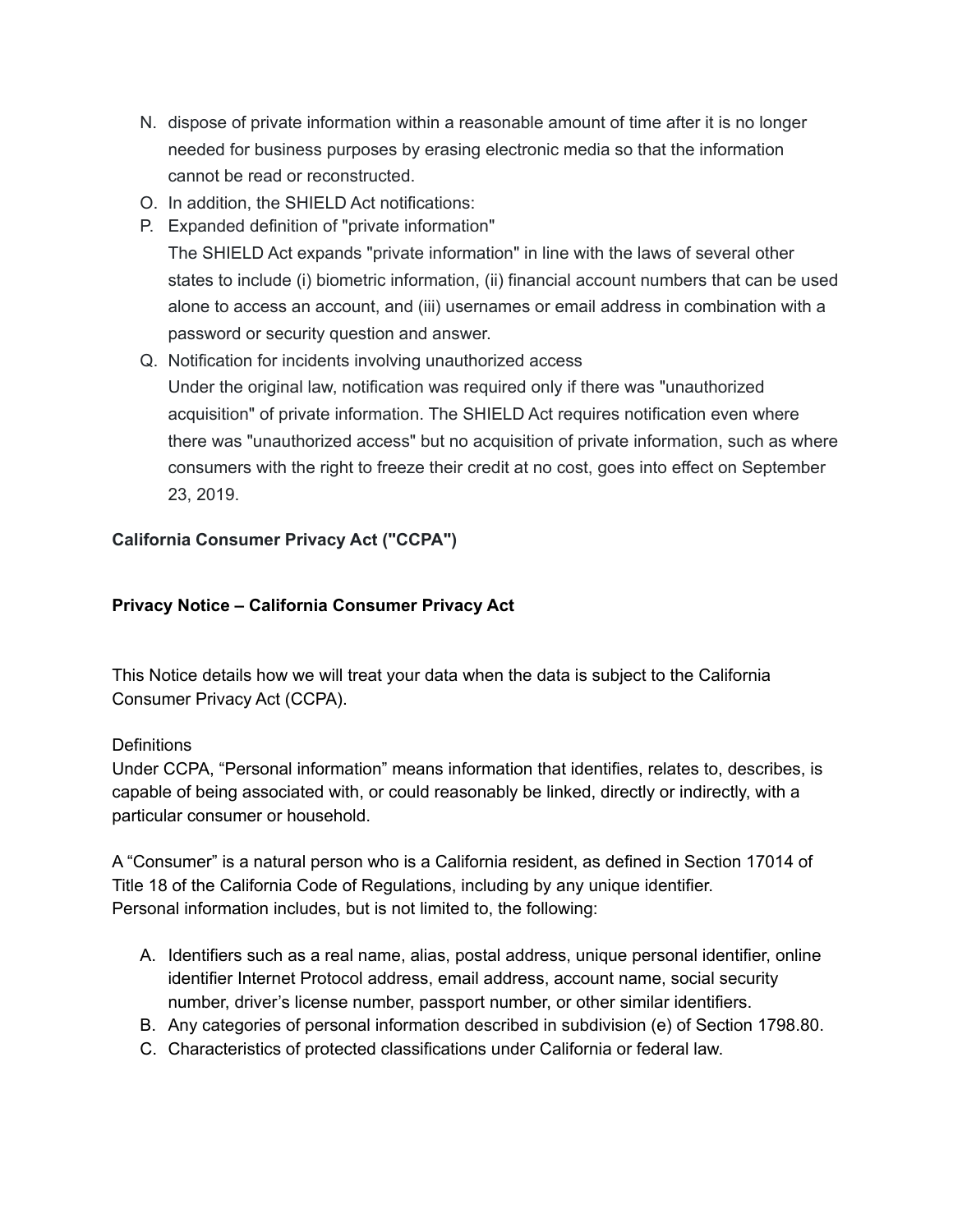- N. dispose of private information within a reasonable amount of time after it is no longer needed for business purposes by erasing electronic media so that the information cannot be read or reconstructed.
- O. In addition, the SHIELD Act notifications:
- P. Expanded definition of "private information" The SHIELD Act expands "private information" in line with the laws of several other states to include (i) biometric information, (ii) financial account numbers that can be used alone to access an account, and (iii) usernames or email address in combination with a password or security question and answer.
- Q. Notification for incidents involving unauthorized access Under the original law, notification was required only if there was "unauthorized acquisition" of private information. The SHIELD Act requires notification even where there was "unauthorized access" but no acquisition of private information, such as where consumers with the right to freeze their credit at no cost, goes into effect on September 23, 2019.

## **California Consumer Privacy Act ("CCPA")**

## **Privacy Notice – California Consumer Privacy Act**

This Notice details how we will treat your data when the data is subject to the California Consumer Privacy Act (CCPA).

#### **Definitions**

Under CCPA, "Personal information" means information that identifies, relates to, describes, is capable of being associated with, or could reasonably be linked, directly or indirectly, with a particular consumer or household.

A "Consumer" is a natural person who is a California resident, as defined in Section 17014 of Title 18 of the California Code of Regulations, including by any unique identifier. Personal information includes, but is not limited to, the following:

- A. Identifiers such as a real name, alias, postal address, unique personal identifier, online identifier Internet Protocol address, email address, account name, social security number, driver's license number, passport number, or other similar identifiers.
- B. Any categories of personal information described in subdivision (e) of Section 1798.80.
- C. Characteristics of protected classifications under California or federal law.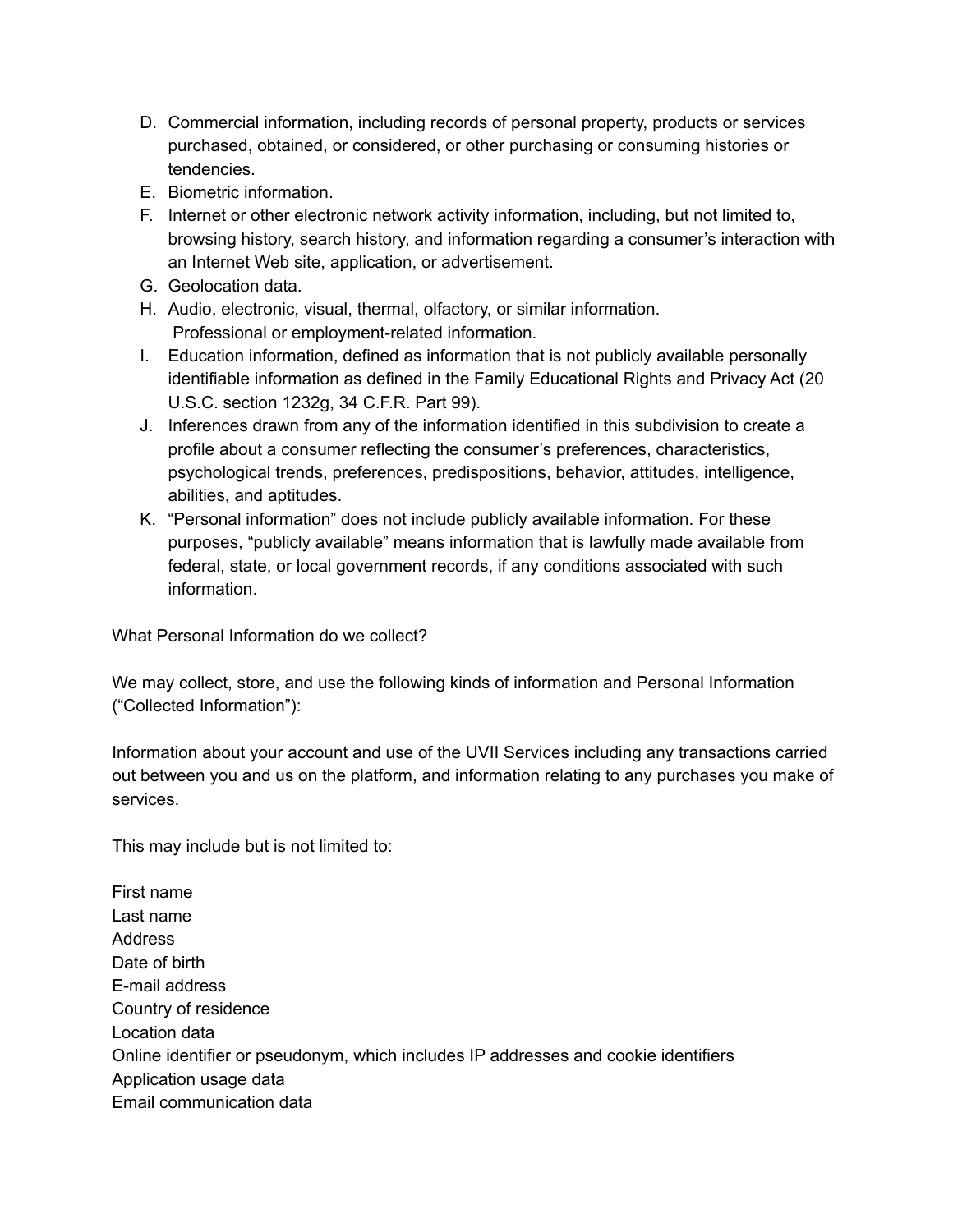- D. Commercial information, including records of personal property, products or services purchased, obtained, or considered, or other purchasing or consuming histories or tendencies.
- E. Biometric information.
- F. Internet or other electronic network activity information, including, but not limited to, browsing history, search history, and information regarding a consumer's interaction with an Internet Web site, application, or advertisement.
- G. Geolocation data.
- H. Audio, electronic, visual, thermal, olfactory, or similar information. Professional or employment-related information.
- I. Education information, defined as information that is not publicly available personally identifiable information as defined in the Family Educational Rights and Privacy Act (20 U.S.C. section 1232g, 34 C.F.R. Part 99).
- J. Inferences drawn from any of the information identified in this subdivision to create a profile about a consumer reflecting the consumer's preferences, characteristics, psychological trends, preferences, predispositions, behavior, attitudes, intelligence, abilities, and aptitudes.
- K. "Personal information" does not include publicly available information. For these purposes, "publicly available" means information that is lawfully made available from federal, state, or local government records, if any conditions associated with such information.

What Personal Information do we collect?

We may collect, store, and use the following kinds of information and Personal Information ("Collected Information"):

Information about your account and use of the UVII Services including any transactions carried out between you and us on the platform, and information relating to any purchases you make of services.

This may include but is not limited to:

First name Last name Address Date of birth E-mail address Country of residence Location data Online identifier or pseudonym, which includes IP addresses and cookie identifiers Application usage data Email communication data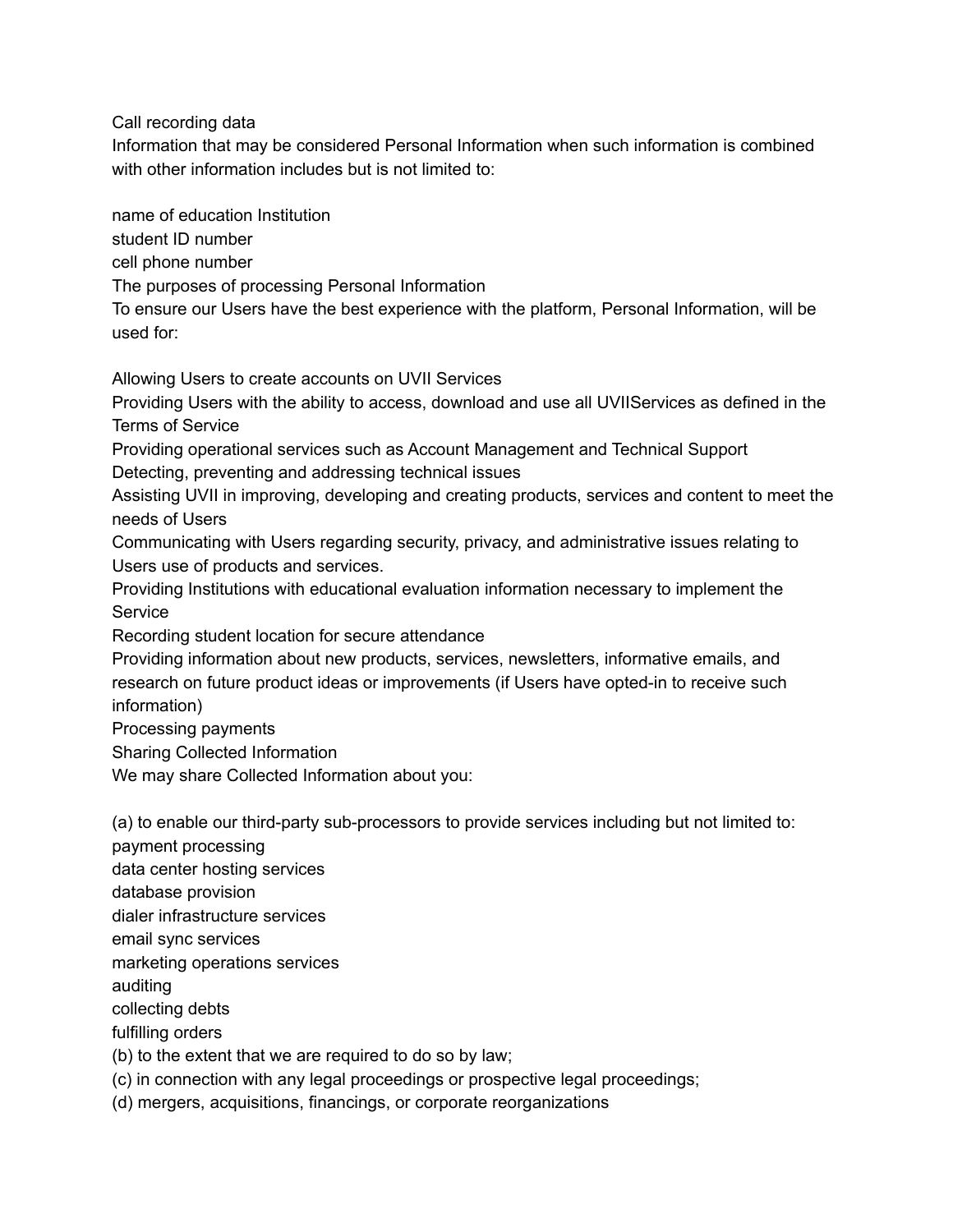Call recording data

Information that may be considered Personal Information when such information is combined with other information includes but is not limited to:

name of education Institution

student ID number

cell phone number

The purposes of processing Personal Information

To ensure our Users have the best experience with the platform, Personal Information, will be used for:

Allowing Users to create accounts on UVII Services

Providing Users with the ability to access, download and use all UVIIServices as defined in the Terms of Service

Providing operational services such as Account Management and Technical Support Detecting, preventing and addressing technical issues

Assisting UVII in improving, developing and creating products, services and content to meet the needs of Users

Communicating with Users regarding security, privacy, and administrative issues relating to Users use of products and services.

Providing Institutions with educational evaluation information necessary to implement the Service

Recording student location for secure attendance

Providing information about new products, services, newsletters, informative emails, and research on future product ideas or improvements (if Users have opted-in to receive such information)

Processing payments

Sharing Collected Information

We may share Collected Information about you:

(a) to enable our third-party sub-processors to provide services including but not limited to: payment processing data center hosting services database provision dialer infrastructure services email sync services

marketing operations services

auditing

collecting debts

fulfilling orders

(b) to the extent that we are required to do so by law;

(c) in connection with any legal proceedings or prospective legal proceedings;

(d) mergers, acquisitions, financings, or corporate reorganizations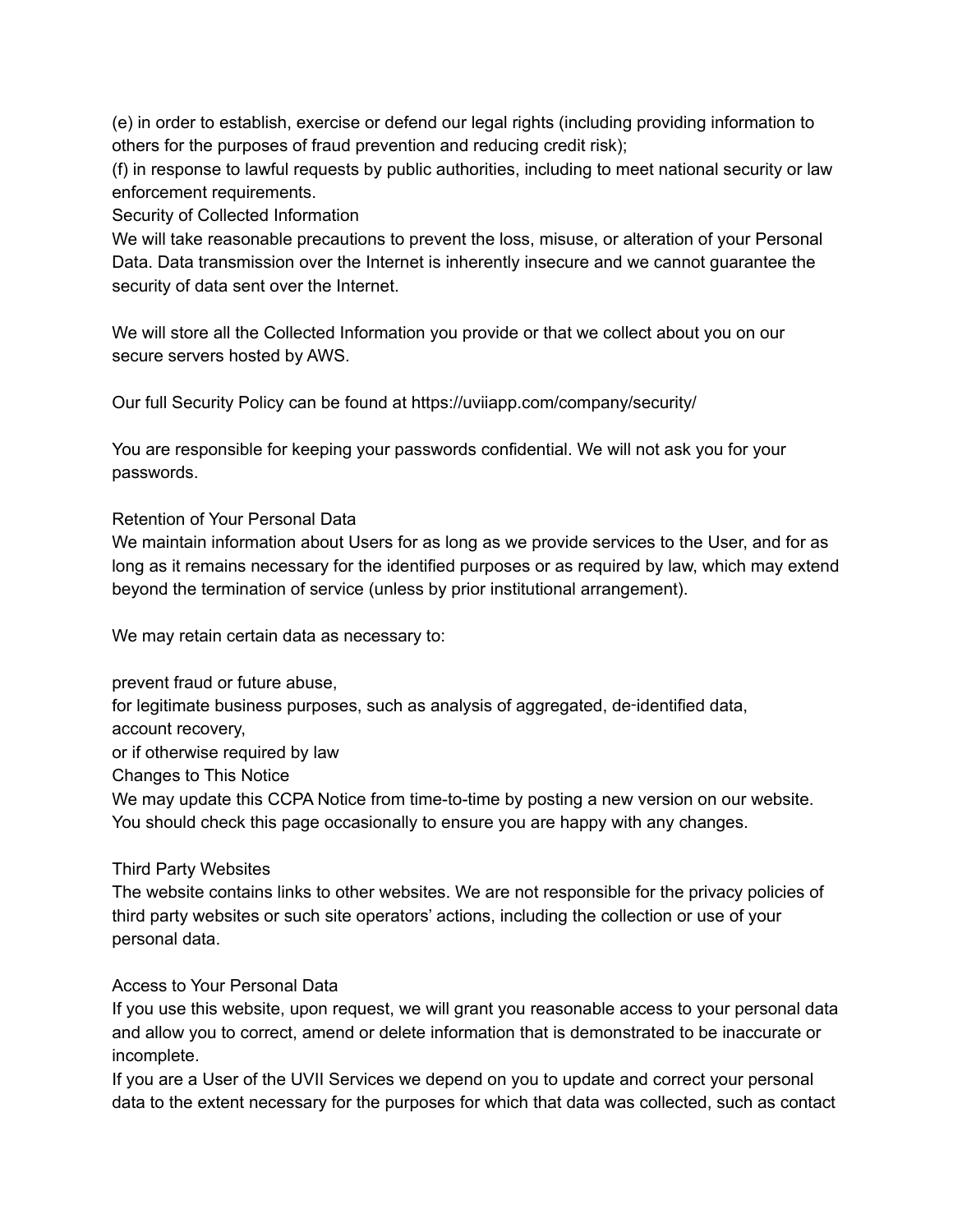(e) in order to establish, exercise or defend our legal rights (including providing information to others for the purposes of fraud prevention and reducing credit risk);

(f) in response to lawful requests by public authorities, including to meet national security or law enforcement requirements.

Security of Collected Information

We will take reasonable precautions to prevent the loss, misuse, or alteration of your Personal Data. Data transmission over the Internet is inherently insecure and we cannot guarantee the security of data sent over the Internet.

We will store all the Collected Information you provide or that we collect about you on our secure servers hosted by AWS.

Our full Security Policy can be found at https://uviiapp.com/company/security/

You are responsible for keeping your passwords confidential. We will not ask you for your passwords.

## Retention of Your Personal Data

We maintain information about Users for as long as we provide services to the User, and for as long as it remains necessary for the identified purposes or as required by law, which may extend beyond the termination of service (unless by prior institutional arrangement).

We may retain certain data as necessary to:

prevent fraud or future abuse,

for legitimate business purposes, such as analysis of aggregated, de-identified data,

account recovery,

or if otherwise required by law

Changes to This Notice

We may update this CCPA Notice from time-to-time by posting a new version on our website. You should check this page occasionally to ensure you are happy with any changes.

## Third Party Websites

The website contains links to other websites. We are not responsible for the privacy policies of third party websites or such site operators' actions, including the collection or use of your personal data.

## Access to Your Personal Data

If you use this website, upon request, we will grant you reasonable access to your personal data and allow you to correct, amend or delete information that is demonstrated to be inaccurate or incomplete.

If you are a User of the UVII Services we depend on you to update and correct your personal data to the extent necessary for the purposes for which that data was collected, such as contact